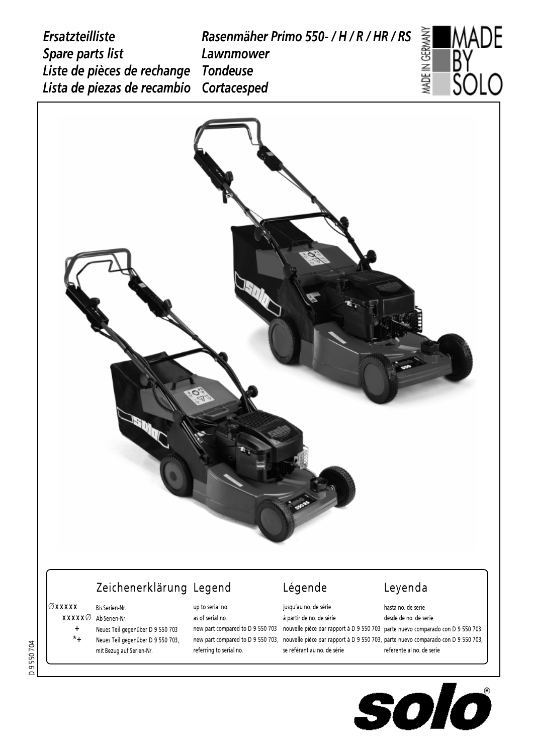*Ersatzteilliste Spare parts list Liste de pièces de rechange Lista de piezas de recambio Rasenmäher Primo 550- / H / R / HR / RS Lawnmower Tondeuse Cortacesped*





# Zeichenerklärung Legend and Légende Leyenda

## Æxxxxx Bis Serien-Nr.

- $\mathtt{XXX} \varnothing$  Ab Serien-Nr.
	- + Neues Teil gegenüber D 9 550 703
	- \*+ Neues Teil gegenüber D 9 550 703, mit Bezug auf Serien-Nr.

# up to serial no. as of serial no.

referring to serial no.

### jusqu'au no. de série à partir de no. de série new part compared to D 9 550 703 – nouvelle pièce par rapport à D 9 550 703 -parte nuevo comparado con D 9 550 703 new part compared to D 9 550 703, nouvelle piece par rapport a D 9 550 703, parte nuevo comparado con D 9 550 703, se référant au no. de série hasta no. de serie desde de no. de serie referente al no. de serie

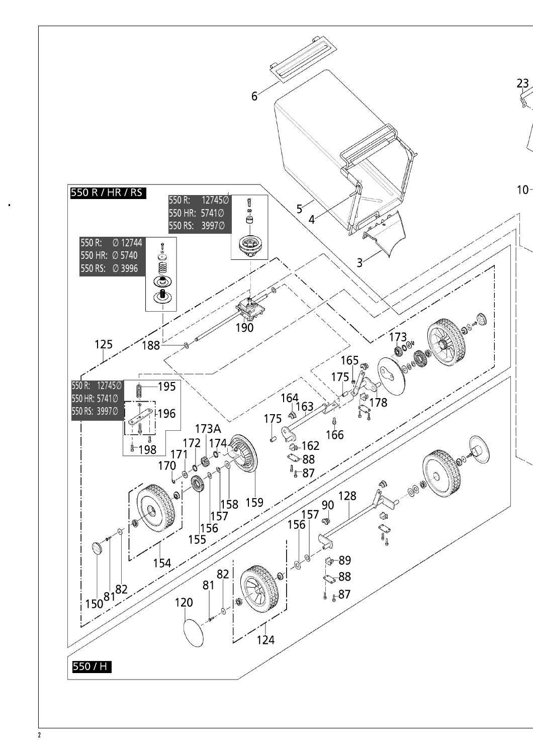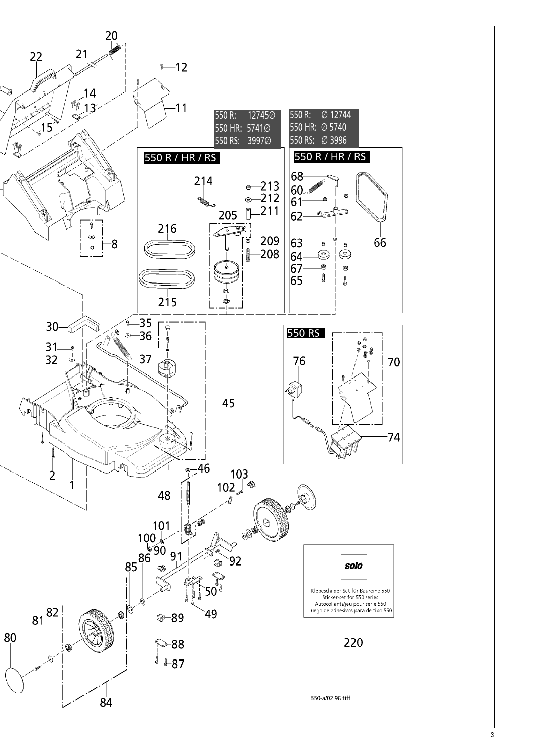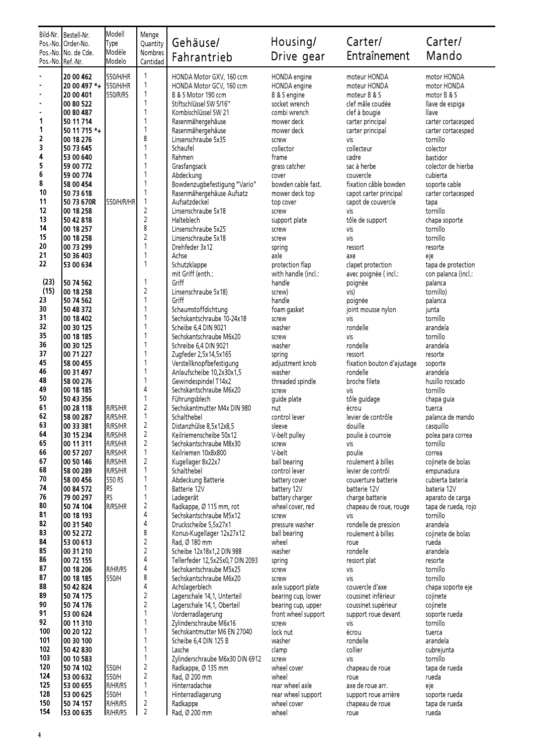|                   | Bild-Nr.   Bestell-Nr.<br>Pos.-No. Order-No. | Modell<br>Type     | Menge<br>Quantity              | Gehäuse/                                              | Housing/                      | Carter/                                 | Carter/                                  |  |
|-------------------|----------------------------------------------|--------------------|--------------------------------|-------------------------------------------------------|-------------------------------|-----------------------------------------|------------------------------------------|--|
| Pos.-No. Ref.-Nr. | Pos.-No. No. de Cde.                         | Modéle<br>Modelo   | Nombres<br>Cantidad            | Fahrantrieb                                           | Drive gear                    | Entraînement                            | Mando                                    |  |
|                   | 20 00 462                                    | 550/H/HR           | $\mathbf{1}$                   | HONDA Motor GXV, 160 ccm                              | HONDA engine                  | moteur HONDA                            | motor HONDA                              |  |
|                   | 20 00 497 *+ 550/H/HR                        |                    | $\mathbf{1}$                   | HONDA Motor GCV, 160 ccm                              | HONDA engine                  | moteur HONDA                            | motor HONDA                              |  |
| ä,                | 20 00 401                                    | 550/R/RS           | $\mathbf{1}$                   | B & S Motor 190 ccm                                   | B & S engine                  | moteur B & S                            | motor B & S                              |  |
| ä,                | 00 80 522                                    |                    | 1                              | Stiftschlüssel SW 5/16"                               | socket wrench                 | clef mâle coudée                        | llave de espiga                          |  |
| 1                 | 00 80 487                                    |                    | 1                              | Kombischlüssel SW 21                                  | combi wrench                  | clef à bougie                           | llave                                    |  |
| 1                 | 50 11 714<br>50 11 715 *+                    |                    | 1                              | Rasenmähergehäuse<br>Rasenmähergehäuse                | mower deck<br>mower deck      | carter principal<br>carter principal    | carter cortacesped<br>carter cortacesped |  |
| 2                 | 00 18 276                                    |                    | 8                              | Linsenschraube 5x35                                   | screw                         | vis                                     | tornillo                                 |  |
| 3                 | 50 73 645                                    |                    |                                | Schaufel                                              | collector                     | collecteur                              | colector                                 |  |
| 4                 | 53 00 640                                    |                    | 1                              | Rahmen                                                | frame                         | cadre                                   | bastidor                                 |  |
| 5<br>6            | 59 00 772                                    |                    | 1                              | Grasfangsack                                          | grass catcher                 | sac à herbe                             | colector de hierba                       |  |
| 8                 | 59 00 774<br>58 00 454                       |                    | 1                              | Abdeckung<br>Bowdenzugbefestigung "Vario"             | cover<br>bowden cable fast.   | couvercle<br>fixation câble bowden      | cubierta<br>soporte cable                |  |
| 10                | 50 73 618                                    |                    | 1                              | Rasenmähergehäuse Aufsatz                             | mower deck top                | capot carter principal                  | carter cortacesped                       |  |
| 11                | 50 73 670R                                   | 550/H/R/HR         | $\mathbf{1}$                   | Aufsatzdeckel                                         | top cover                     | capot de couvercle                      | tapa                                     |  |
| 12                | 00 18 258                                    |                    | $\overline{c}$                 | Linsenschraube 5x18                                   | screw                         | vis                                     | tornillo                                 |  |
| 13                | 50 42 818                                    |                    | $\overline{c}$                 | Halteblech                                            | support plate                 | tôle de support                         | chapa soporte                            |  |
| 14<br>15          | 00 18 257                                    |                    | 8<br>$\overline{c}$            | Linsenschraube 5x25                                   | screw                         | vis                                     | tornillo                                 |  |
| 20                | 00 18 258<br>00 73 299                       |                    | 1                              | Linsenschraube 5x18<br>Drehfeder 3x12                 | screw<br>spring               | vis<br>ressort                          | tornillo<br>resorte                      |  |
| 21                | 50 36 403                                    |                    |                                | Achse                                                 | axle                          | ахе                                     | eje                                      |  |
| 22                | 53 00 634                                    |                    | 1                              | Schutzklappe                                          | protection flap               | clapet protection                       | tapa de protection                       |  |
|                   |                                              |                    |                                | mit Griff (enth.:                                     | with handle (incl.:           | avec poignée (incl.:                    | con palanca (incl.:                      |  |
| (23)              | 50 74 562                                    |                    | 1                              | Griff                                                 | handle                        | poignée                                 | palanca                                  |  |
| (15)<br>23        | 00 18 258<br>50 74 562                       |                    | $\overline{c}$<br>1            | Linsenschraube 5x18)<br>Griff                         | screw)                        | vis)                                    | tornillo)                                |  |
| 30                | 50 48 372                                    |                    |                                | Schaumstoffdichtung                                   | handle<br>foam gasket         | poignée<br>joint mousse nylon           | palanca<br>junta                         |  |
| 31                | 00 18 402                                    |                    | 1                              | Sechskantschraube 10-24x18                            | screw                         | vis                                     | tornillo                                 |  |
| 32                | 00 30 125                                    |                    | 1                              | Scheibe 6,4 DIN 9021                                  | washer                        | rondelle                                | arandela                                 |  |
| 35                | 00 18 185                                    |                    |                                | Sechskantschraube M6x20                               | screw                         | vis                                     | tornillo                                 |  |
| 36<br>37          | 00 30 125                                    |                    | 1<br>1                         | Schreibe 6,4 DIN 9021                                 | washer                        | rondelle                                | arandela                                 |  |
| 45                | 00 71 227<br>58 00 455                       |                    |                                | Zugfeder 2,5x14,5x165<br>Verstellknopfbefestigung     | spring<br>adjustment knob     | ressort<br>fixation bouton d'ajustage   | resorte<br>soporte                       |  |
| 46                | 00 31 497                                    |                    | $\mathbf{1}$                   | Anlaufscheibe 10,2x30x1,5                             | washer                        | rondelle                                | arandela                                 |  |
| 48                | 58 00 276                                    |                    | 1                              | Gewindespindel T14x2                                  | threaded spindle              | broche filete                           | husillo roscado                          |  |
| 49                | 00 18 185                                    |                    | 4                              | Sechskantschraube M6x20                               | screw                         | vis                                     | tornillo                                 |  |
| 50                | 50 43 356                                    |                    | 1                              | Führungsblech                                         | guide plate                   | tôle guidage                            | chapa guia                               |  |
| 61<br>62          | 00 28 118<br>58 00 287                       | R/RS/HR<br>R/RS/HR | $\overline{c}$<br>$\mathbf{1}$ | Sechskantmutter M4x DIN 980<br>Schalthebel            | nut<br>control lever          | écrou<br>levier de contrôle             | tuerca<br>palanca de mando               |  |
| 63                | 00 33 381                                    | R/RS/HR            | $\overline{2}$                 | Distanzhülse 8,5x12x8,5                               | sleeve                        | douille                                 | casquillo                                |  |
| 64                | 30 15 234                                    | R/RS/HR            | $\overline{c}$                 | Keilriemenscheibe 50x12                               | V-belt pulley                 | poulie à courroie                       | polea para correa                        |  |
| 65                | 00 11 311                                    | R/RS/HR            | $\overline{c}$                 | Sechskantschraube M8x30                               | screw                         | vis                                     | tornillo                                 |  |
| 66                | 00 57 207                                    | R/RS/HR            | 1                              | Keilriemen 10x8x800                                   | V-belt                        | poulie                                  | correa                                   |  |
| 67<br>68          | 00 50 146<br>58 00 289                       | R/RS/HR<br>R/RS/HR | 2<br>1                         | Kugellager 8x22x7<br>Schalthebel                      | ball bearing<br>control lever | roulement à billes<br>levier de contrôl | cojinete de bolas<br>empunadura          |  |
| 70                | 58 00 456                                    | 550 RS             | 1                              | Abdeckung Batterie                                    | battery cover                 | couverture batterie                     | cubierta bateria                         |  |
| 74                | 00 84 572                                    | RS                 |                                | Batterie 12V                                          | battery 12V                   | batterie 12V                            | bateria 12V                              |  |
| 76                | 79 00 297                                    | RS                 | 1                              | Ladegerät                                             | battery charger               | charge batterie                         | aparato de carga                         |  |
| 80                | 50 74 104                                    | R/RS/HR            | 2                              | Radkappe, Ø 115 mm, rot                               | wheel cover, red              | chapeau de roue, rouge                  | tapa de rueda, rojo                      |  |
| 81<br>82          | 00 18 193<br>00 31 540                       |                    | 4<br>4                         | Sechskantschraube M5x12<br>Druckscheibe 5,5x27x1      | screw<br>pressure washer      | vis<br>rondelle de pression             | tornillo<br>arandela                     |  |
| 83                | 00 52 272                                    |                    | 8                              | Konus-Kugellager 12x27x12                             | ball bearing                  | roulement à billes                      | cojinete de bolas                        |  |
| 84                | 53 00 613                                    |                    | $\mathbf 2$                    | Rad, Ø 180 mm                                         | wheel                         | roue                                    | rueda                                    |  |
| 85                | 00 31 210                                    |                    | $\overline{c}$                 | Scheibe 12x18x1,2 DIN 988                             | washer                        | rondelle                                | arandela                                 |  |
| 86                | 00 72 155                                    |                    | 4                              | Tellerfeder 12,5x25x0,7 DIN 2093                      | spring                        | ressort plat                            | resorte                                  |  |
| 87<br>87          | 00 18 206<br>00 18 185                       | R/HR/RS<br>550/H   | 4<br>8                         | Sechskantschraube M5x25<br>Sechskantschraube M6x20    | screw                         | vis<br>vis                              | tornillo<br>tornillo                     |  |
| 88                | 50 42 824                                    |                    | 4                              | Achslagerblech                                        | screw<br>axle support plate   | couvercle d'axe                         | chapa soporte eje                        |  |
| 89                | 50 74 175                                    |                    | $\overline{c}$                 | Lagerschale 14,1, Unterteil                           | bearing cup, lower            | coussinet inférieur                     | cojinete                                 |  |
| 90                | 50 74 176                                    |                    | $\overline{c}$                 | Lagerschale 14,1, Oberteil                            | bearing cup, upper            | coussinet supérieur                     | cojinete                                 |  |
| 91                | 53 00 624                                    |                    | $\mathbf{1}$                   | Vorderradlagerung                                     | front wheel support           | support roue devant                     | soporte rueda                            |  |
| 92<br>100         | 00 11 310<br>00 20 122                       |                    | 1                              | Zylinderschraube M6x16<br>Sechskantmutter M6 EN 27040 | screw<br>lock nut             | vis<br>écrou                            | tornillo                                 |  |
| 101               | 00 30 100                                    |                    | $\mathbf{1}$                   | Scheibe 6,4 DIN 125 B                                 | washer                        | rondelle                                | tuerca<br>arandela                       |  |
| 102               | 50 42 830                                    |                    | 1                              | Lasche                                                | clamp                         | collier                                 | cubrejunta                               |  |
| 103               | 00 10 583                                    |                    |                                | Zylinderschraube M6x30 DIN 6912                       | screw                         | vis                                     | tornillo                                 |  |
| 120               | 50 74 102                                    | 550/H              | $\overline{c}$                 | Radkappe, Ø 135 mm                                    | wheel cover                   | chapeau de roue                         | tapa de rueda                            |  |
| 124<br>125        | 53 00 632<br>53 00 655                       | 550/H<br>R/HR/RS   | $\overline{c}$<br>1            | Rad, Ø 200 mm<br>Hinterradachse                       | wheel<br>rear wheel axle      | roue<br>axe de roue arr.                | rueda                                    |  |
| 128               | 53 00 625                                    | 550/H              | $\mathbf{1}$                   | Hinterradlagerung                                     | rear wheel support            | support roue arrière                    | eje<br>soporte rueda                     |  |
| 150               | 50 74 157                                    | R/HR/RS            | $\overline{c}$                 | Radkappe                                              | wheel cover                   | chapeau de roue                         | tapa de rueda                            |  |
| 154               | 53 00 635                                    | <b>R/HR/RS</b>     | $\overline{2}$                 | Rad, Ø 200 mm                                         | wheel                         | roue                                    | rueda                                    |  |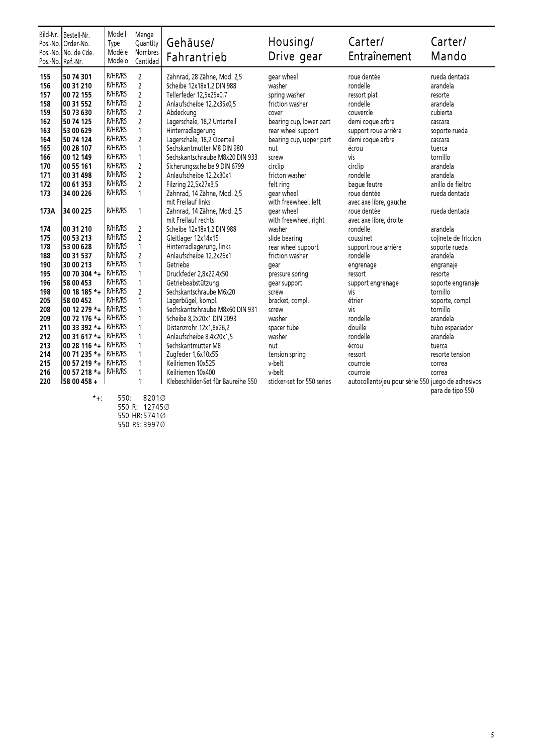| Pos.-No. Ref.-Nr. | Bild-Nr. Bestell-Nr.<br>Pos.-No. Order-No.<br>Pos.-No. No. de Cde. | Modell<br>Type<br>Modéle<br>Modelo | Menge<br>Quantity<br>Nombres<br>Cantidad | Gehäuse/<br>Fahrantrieb            | Housing/<br>Drive gear     | Carter/<br>Entraînement                            | Carter/<br>Mando     |
|-------------------|--------------------------------------------------------------------|------------------------------------|------------------------------------------|------------------------------------|----------------------------|----------------------------------------------------|----------------------|
| 155               | 50 74 301                                                          | <b>R/HR/RS</b>                     | $\overline{2}$                           | Zahnrad, 28 Zähne, Mod. 2,5        | gear wheel                 | roue dentée                                        | rueda dentada        |
| 156               | 00 31 210                                                          | <b>R/HR/RS</b>                     | $\overline{2}$                           | Scheibe 12x18x1,2 DIN 988          | washer                     | rondelle                                           | arandela             |
| 157               | 00 72 155                                                          | <b>R/HR/RS</b>                     | $\overline{c}$                           | Tellerfeder 12,5x25x0,7            | spring washer              | ressort plat                                       | resorte              |
| 158               | 00 31 552                                                          | <b>R/HR/RS</b>                     | $\overline{2}$                           | Anlaufscheibe 12,2x35x0,5          | friction washer            | rondelle                                           | arandela             |
| 159               | 50 73 630                                                          | R/HR/RS                            | $\overline{c}$                           | Abdeckung                          | cover                      | couvercle                                          | cubierta             |
| 162               | 50 74 125                                                          | <b>R/HR/RS</b>                     | $\overline{2}$                           | Lagerschale, 18,2 Unterteil        | bearing cup, lower part    | demi coque arbre                                   | cascara              |
| 163               | 53 00 629                                                          | <b>R/HR/RS</b>                     | $\mathbf{1}$                             | Hinterradlagerung                  | rear wheel support         | support roue arrière                               | soporte rueda        |
| 164               | 50 74 124                                                          | <b>R/HR/RS</b>                     | $\overline{c}$                           | Lagerschale, 18,2 Oberteil         | bearing cup, upper part    | demi coque arbre                                   | cascara              |
| 165               | 00 28 107                                                          | <b>R/HR/RS</b>                     | $\mathbf{1}$                             | Sechskantmutter M8 DIN 980         | nut                        | écrou                                              | tuerca               |
| 166               | 100 12 149                                                         | <b>R/HR/RS</b>                     | $\mathbf{1}$                             | Sechskantschraube M8x20 DIN 933    | screw                      | vis                                                | tornillo             |
| 170               | 00 55 161                                                          | R/HR/RS                            | $\overline{2}$                           | Sicherungsscheibe 9 DIN 6799       | circlip                    | circlip                                            | arandela             |
| 171               | 00 31 498                                                          | <b>R/HR/RS</b>                     | $\overline{2}$                           | Anlaufscheibe 12,2x30x1            | fricton washer             | rondelle                                           | arandela             |
| 172               | 00 61 353                                                          | <b>R/HR/RS</b>                     | $\overline{2}$                           | Filzring 22,5x27x3,5               | felt ring                  | baque feutre                                       | anillo de fieltro    |
| 173               | 34 00 226                                                          | <b>R/HR/RS</b>                     | $\mathbf{1}$                             | Zahnrad, 14 Zähne, Mod. 2,5        | gear wheel                 | roue dentée                                        | rueda dentada        |
|                   |                                                                    |                                    |                                          | mit Freilauf links                 | with freewheel, left       | avec axe libre, gauche                             |                      |
| 173A              | 34 00 225                                                          | <b>R/HR/RS</b>                     | $\mathbf{1}$                             | Zahnrad, 14 Zähne, Mod. 2,5        | gear wheel                 | roue dentée                                        | rueda dentada        |
|                   |                                                                    |                                    |                                          | mit Freilauf rechts                | with freewheel, right      | avec axe libre, droite                             |                      |
| 174               | 00 31 210                                                          | <b>R/HR/RS</b>                     | $\overline{2}$                           | Scheibe 12x18x1,2 DIN 988          | washer                     | rondelle                                           | arandela             |
| 175               | 00 53 213                                                          | <b>R/HR/RS</b>                     | $\overline{2}$                           | Gleitlager 12x14x15                | slide bearing              | coussinet                                          | cojinete de friccion |
| 178               | 53 00 628                                                          | <b>R/HR/RS</b>                     | $\mathbf{1}$                             | Hinterradlagerung, links           | rear wheel support         | support roue arrière                               | soporte rueda        |
| 188               | 00 31 537                                                          | <b>R/HR/RS</b>                     | $\overline{2}$                           | Anlaufscheibe 12,2x26x1            | friction washer            | rondelle                                           | arandela             |
| 190               | 30 00 213                                                          | <b>R/HR/RS</b>                     | $\mathbf{1}$                             | Getriebe                           | gear                       | engrenage                                          | engranaje            |
| 195               | 00 70 304 *+                                                       | <b>R/HR/RS</b>                     | $\mathbf{1}$                             | Druckfeder 2,8x22,4x50             | pressure spring            | ressort                                            | resorte              |
| 196               | 58 00 453                                                          | <b>R/HR/RS</b>                     | $\mathbf{1}$                             | Getriebeabstützung                 | gear support               | support engrenage                                  | soporte engranaje    |
| 198               | 00 18 185 *+                                                       | <b>R/HR/RS</b>                     | $\overline{2}$                           | Sechskantschraube M6x20            | screw                      | vis                                                | tornillo             |
| 205               | 58 00 452                                                          | <b>R/HR/RS</b>                     | $\mathbf{1}$                             | Lagerbügel, kompl.                 | bracket, compl.            | étrier                                             | soporte, compl.      |
| 208               | 00 12 279 *+                                                       | R/HR/RS                            | $\mathbf{1}$                             | Sechskantschraube M8x60 DIN 931    | screw                      | vis                                                | tornillo             |
| 209               | 00 72 176 *+                                                       | <b>R/HR/RS</b>                     | $\mathbf{1}$                             | Scheibe 8,2x20x1 DIN 2093          | washer                     | rondelle                                           | arandela             |
| 211               | 00 33 392 *+                                                       | <b>R/HR/RS</b>                     | $\mathbf{1}$                             | Distanzrohr 12x1,8x26,2            | spacer tube                | douille                                            | tubo espaciador      |
| 212               | 00 31 617 *+                                                       | <b>R/HR/RS</b>                     | $\mathbf{1}$                             | Anlaufscheibe 8,4x20x1,5           | washer                     | rondelle                                           | arandela             |
| 213               | 00 28 116 *+                                                       | <b>R/HR/RS</b>                     | $\mathbf{1}$                             | Sechskantmutter M8                 | nut                        | écrou                                              | tuerca               |
| 214               | 00 71 235 *+                                                       | <b>R/HR/RS</b>                     | $\mathbf{1}$                             | Zugfeder 1,6x10x55                 | tension spring             | ressort                                            | resorte tension      |
| 215               | 00 57 219 *+                                                       | <b>R/HR/RS</b>                     | $\mathbf{1}$                             | Keilriemen 10x525                  | v-belt                     | courroie                                           | correa               |
| 216               | 00 57 218 *+                                                       | <b>R/HR/RS</b>                     | $\overline{\phantom{a}}$                 | Keilriemen 10x400                  | v-belt                     | courroie                                           | correa               |
| 220               | 58 00 458 +                                                        |                                    | $\overline{1}$                           | Klebeschilder-Set für Baureihe 550 | sticker-set for 550 series | autocollants/jeu pour série 550 juego de adhesivos |                      |

\*+: 550: 8201Æ 550 R: 12745Æ 550 HR:5741Æ

550 RS: 3997∅

para de tipo 550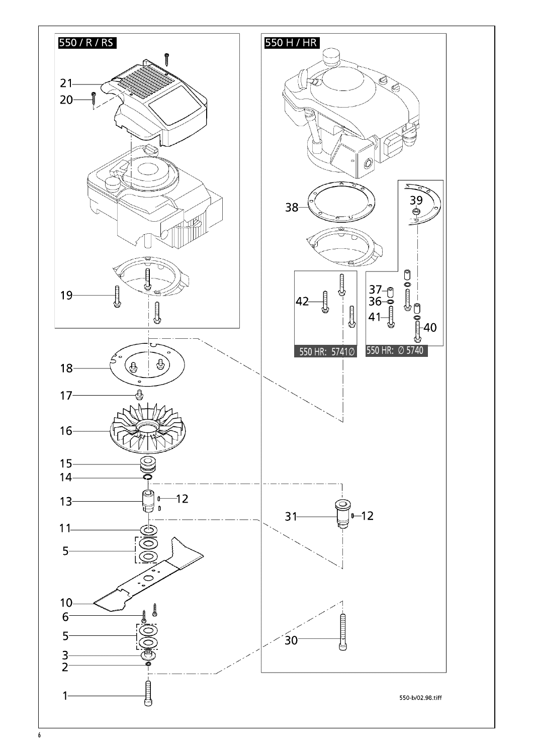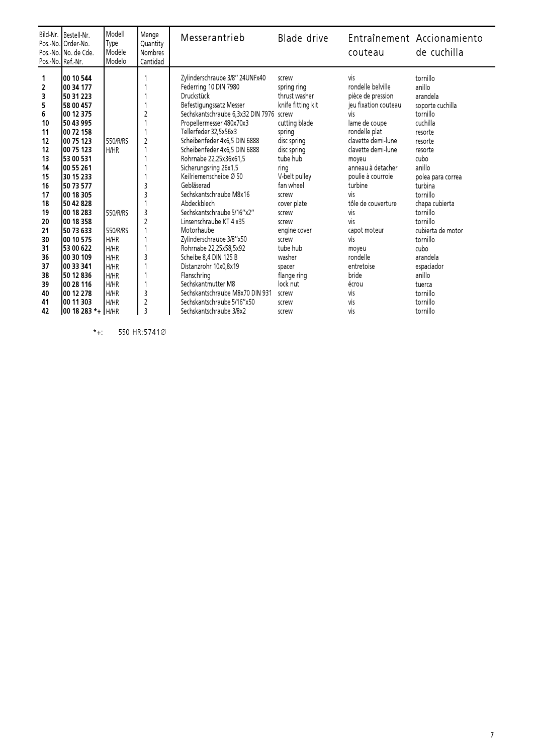| vis<br>100 10 544<br>Zylinderschraube 3/8" 24UNFx40<br>tornillo<br>1<br>screw<br>$\overline{2}$<br>rondelle belville<br>100 34 177<br>Federring 10 DIN 7980<br>anillo<br>spring ring<br>3<br>Druckstück<br>thrust washer<br>pièce de pression<br>arandela<br>50 31 223<br>5<br>Befestigungssatz Messer<br>knife fitting kit<br>jeu fixation couteau<br>158 00 457<br>soporte cuchilla<br>6<br>Sechskantschraube 6,3x32 DIN 7976<br>tornillo<br>100 12 375<br>$\overline{c}$<br>vis<br>screw<br>10<br>Propellermesser 480x70x3<br>cutting blade<br>lame de coupe<br>cuchilla<br>150 43 995<br>11<br>Tellerfeder 32.5x56x3<br>rondelle plat<br>100 72 158<br>spring<br>resorte<br>$\overline{c}$<br>Scheibenfeder 4x6,5 DIN 6888<br>12<br>550/R/RS<br>clavette demi-lune<br>00 75 123<br>disc spring<br>resorte<br>12<br>Scheibenfeder 4x6,5 DIN 6888<br>00 75 123<br>H/HR<br>disc spring<br>clavette demi-lune<br>resorte<br>13<br>Rohrnabe 22,25x36x61,5<br>tube hub<br>53 00 531<br>cubo<br>moyeu<br>anneau à detacher<br>14<br>Sicherungsring 26x1,5<br>anillo<br>100 55 261<br>ring<br>15<br>30 15 233<br>Keilriemenscheibe Ø 50<br>V-belt pulley<br>poulie à courroie<br>polea para correa<br>Gebläserad<br>turbine<br>16<br>3<br>fan wheel<br>50 73 577<br>turbina<br>3<br>17<br>Sechskantschraube M8x16<br>100 18 305<br>νiς<br>tornillo<br>screw<br>18<br>Abdeckblech<br>150 42 828<br>tôle de couverture<br>chapa cubierta<br>cover plate<br>3<br>Sechskantschraube 5/16"x2"<br>19<br>100 18 283<br>tornillo<br>550/R/RS<br>vis<br>screw<br>$\overline{c}$<br>Linsenschraube KT 4 x35<br>vis<br>20<br>100 18 358<br>tornillo<br>screw<br>21<br>cubierta de motor<br>150 73 633<br>550/R/RS<br>Motorhaube<br>engine cover<br>capot moteur<br>30<br>Zylinderschraube 3/8"x50<br>100 10 575<br>H/HR<br>vis<br>tornillo<br>screw<br>31<br>H/HR<br>Rohrnabe 22,25x58,5x92<br>tube hub<br>153 00 622<br>cubo<br>moyeu<br>3<br>36<br>100 30 109<br>H/HR<br>Scheibe 8,4 DIN 125 B<br>rondelle<br>arandela<br>washer<br>37<br>H/HR<br>Distanzrohr 10x0,8x19<br>100 33 341<br>entretoise<br>espaciador<br>spacer<br>38<br>Flanschring<br>H/HR<br>flange ring<br>bride<br>50 12 836<br>anillo |    | Bild-Nr. Bestell-Nr.<br>Pos.-No. Order-No.<br>Pos.-No. No. de Cde.<br>Pos.-No. Ref.-Nr. | Modell<br>Type<br>Modéle<br>Modelo | Menge<br>Quantity<br><b>Nombres</b><br>Cantidad | Messerantrieb      | Blade drive | couteau | Entraînement Accionamiento<br>de cuchilla |
|--------------------------------------------------------------------------------------------------------------------------------------------------------------------------------------------------------------------------------------------------------------------------------------------------------------------------------------------------------------------------------------------------------------------------------------------------------------------------------------------------------------------------------------------------------------------------------------------------------------------------------------------------------------------------------------------------------------------------------------------------------------------------------------------------------------------------------------------------------------------------------------------------------------------------------------------------------------------------------------------------------------------------------------------------------------------------------------------------------------------------------------------------------------------------------------------------------------------------------------------------------------------------------------------------------------------------------------------------------------------------------------------------------------------------------------------------------------------------------------------------------------------------------------------------------------------------------------------------------------------------------------------------------------------------------------------------------------------------------------------------------------------------------------------------------------------------------------------------------------------------------------------------------------------------------------------------------------------------------------------------------------------------------------------------------------------------------------------------------------------------------------------------------------------------------------------|----|-----------------------------------------------------------------------------------------|------------------------------------|-------------------------------------------------|--------------------|-------------|---------|-------------------------------------------|
| 3<br>Sechskantschraube M8x70 DIN 931<br>40<br>100 12 278<br>H/HR<br>vis<br>tornillo<br>screw<br>$\overline{c}$<br>Sechskantschraube 5/16"x50<br>41<br>100 11 303<br>H/HR<br>vis<br>tornillo<br>screw<br>3                                                                                                                                                                                                                                                                                                                                                                                                                                                                                                                                                                                                                                                                                                                                                                                                                                                                                                                                                                                                                                                                                                                                                                                                                                                                                                                                                                                                                                                                                                                                                                                                                                                                                                                                                                                                                                                                                                                                                                                  | 39 | 100 28 116                                                                              | H/HR                               |                                                 | Sechskantmutter M8 | lock nut    | écrou   | tuerca                                    |

 $*+$ : 550 HR:5741 $\varnothing$ 

7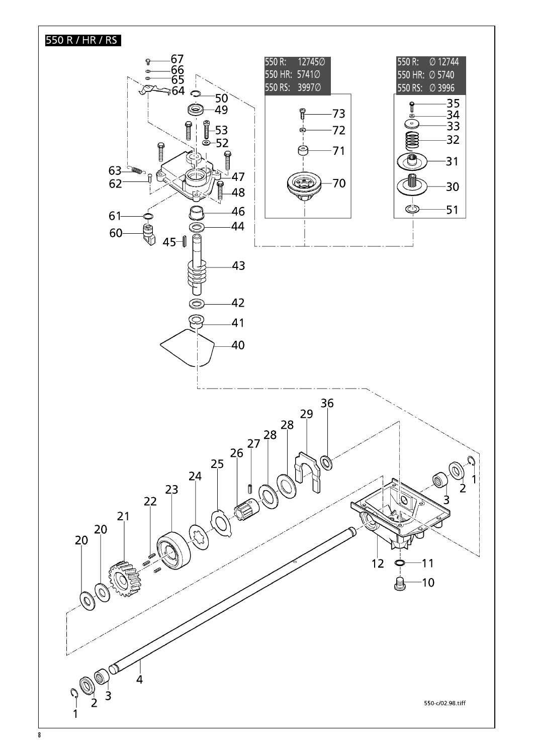## 550 R / HR / RS

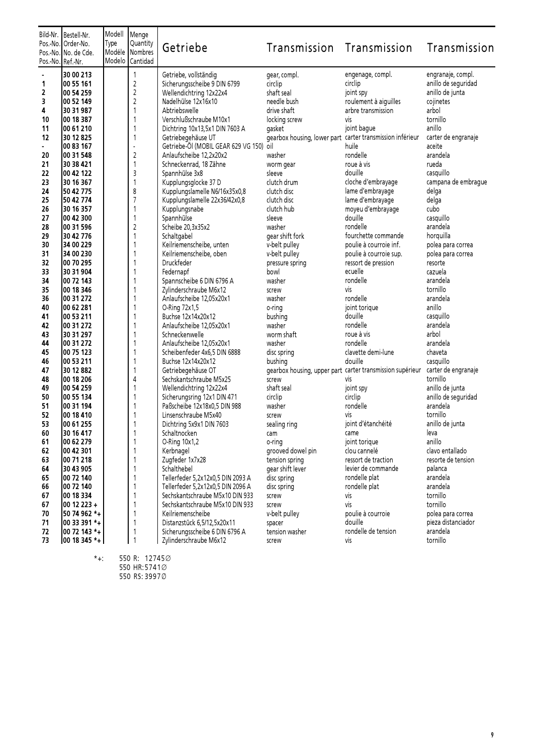| Pos.-No. Ref.-Nr. | Bild-Nr. Bestell-Nr.<br>Pos.-No. Order-No.<br>Pos.-No. No. de Cde. | Modell<br>Type<br>Modéle<br>Modelo | Menge<br>Quantity<br>Nombres<br>Cantidad | Getriebe                                                             | Transmission                                              | Transmission                                                                  | Transmission         |
|-------------------|--------------------------------------------------------------------|------------------------------------|------------------------------------------|----------------------------------------------------------------------|-----------------------------------------------------------|-------------------------------------------------------------------------------|----------------------|
|                   | 30 00 213                                                          |                                    | 1                                        | Getriebe, vollständig                                                | gear, compl.                                              | engenage, compl.                                                              | engranaje, compl.    |
| 1                 | 00 55 161                                                          |                                    | $\sqrt{2}$                               | Sicherungsscheibe 9 DIN 6799                                         | circlip                                                   | circlip                                                                       | anillo de seguridad  |
| 2                 | 00 54 259                                                          |                                    | $\overline{c}$                           | Wellendichtring 12x22x4                                              | shaft seal                                                | joint spy                                                                     | anillo de junta      |
| 3                 | 00 52 149                                                          |                                    | $\overline{c}$                           | Nadelhülse 12x16x10                                                  | needle bush                                               | roulement à aiguilles                                                         | cojinetes            |
| 4                 | 30 31 987                                                          |                                    | $\mathbf{1}$                             | Abtriebswelle                                                        | drive shaft                                               | arbre transmission                                                            | arbol                |
| 10                | 00 18 387                                                          |                                    | 1                                        | Verschlußschraube M10x1                                              | locking screw                                             | vis                                                                           | tornillo             |
| 11                | 00 61 210                                                          |                                    | 1                                        | Dichtring 10x13,5x1 DIN 7603 A                                       | gasket                                                    | joint bague                                                                   | anillo               |
| 12                | 30 12 825                                                          |                                    | $\mathbf{1}$                             | Getriebegehäuse UT                                                   | gearbox housing, lower part carter transmission inférieur |                                                                               | carter de engranaje  |
| 20                | 00 83 167                                                          |                                    | $\overline{a}$                           | Getriebe-Öl (MOBIL GEAR 629 VG 150) oil                              | washer                                                    | huile<br>rondelle                                                             | aceite<br>arandela   |
| 21                | 100 31 548<br>30 38 421                                            |                                    | $\mathbf 2$<br>$\mathbf{1}$              | Anlaufscheibe 12,2x20x2<br>Schneckenrad, 18 Zähne                    |                                                           | roue à vis                                                                    | rueda                |
| 22                | 00 42 122                                                          |                                    | 3                                        | Spannhülse 3x8                                                       | worm gear<br>sleeve                                       | douille                                                                       | casquillo            |
| 23                | 30 16 367                                                          |                                    | 1                                        | Kupplungsglocke 37 D                                                 | clutch drum                                               | cloche d'embrayage                                                            | campana de embrague  |
| 24                | 50 42 775                                                          |                                    | 8                                        | Kupplungslamelle N6/16x35x0,8                                        | clutch disc                                               | lame d'embrayage                                                              | delga                |
| 25                | 50 42 774                                                          |                                    | $\overline{7}$                           | Kupplungslamelle 22x36/42x0,8                                        | clutch disc                                               | lame d'embrayage                                                              | delga                |
| 26                | 30 16 357                                                          |                                    | 1                                        | Kupplungsnabe                                                        | clutch hub                                                | moyeu d'embrayage                                                             | cubo                 |
| 27                | 00 42 300                                                          |                                    | $\mathbf{1}$                             | Spannhülse                                                           | sleeve                                                    | douille                                                                       | casquillo            |
| 28                | 00 31 596                                                          |                                    | $\overline{c}$                           | Scheibe 20,3x35x2                                                    | washer                                                    | rondelle                                                                      | arandela             |
| 29                | 30 42 776                                                          |                                    | 1                                        | Schaltgabel                                                          | gear shift fork                                           | fourchette commande                                                           | horquilla            |
| 30                | 34 00 229                                                          |                                    | 1                                        | Keilriemenscheibe, unten                                             | v-belt pulley                                             | poulie à courroie inf.                                                        | polea para correa    |
| 31                | 34 00 230                                                          |                                    | 1                                        | Keilriemenscheibe, oben                                              | v-belt pulley                                             | poulie à courroie sup.                                                        | polea para correa    |
| 32                | 00 70 295                                                          |                                    | 1                                        | Druckfeder                                                           | pressure spring                                           | ressort de pression                                                           | resorte              |
| 33                | 30 31 904                                                          |                                    | 1                                        | Federnapf                                                            | bowl                                                      | ecuelle                                                                       | cazuela              |
| 34                | 00 72 143                                                          |                                    | 1                                        | Spannscheibe 6 DIN 6796 A                                            | washer                                                    | rondelle                                                                      | arandela             |
| 35                | 00 18 346                                                          |                                    | 1                                        | Zylinderschraube M6x12                                               | screw                                                     | vis                                                                           | tornillo             |
| 36                | 00 31 272                                                          |                                    | 1                                        | Anlaufscheibe 12,05x20x1                                             | washer                                                    | rondelle                                                                      | arandela             |
| 40                | 00 62 281                                                          |                                    | 1                                        | O-Ring 72x1,5                                                        | o-ring                                                    | joint torique                                                                 | anillo               |
| 41                | 00 53 211                                                          |                                    | 1                                        | Buchse 12x14x20x12                                                   | bushing                                                   | douille                                                                       | casquillo            |
| 42                | 00 31 272                                                          |                                    | 1                                        | Anlaufscheibe 12,05x20x1                                             | washer                                                    | rondelle<br>roue à vis                                                        | arandela             |
| 43<br>44          | 30 31 297<br>00 31 272                                             |                                    | 1<br>1                                   | Schneckenwelle                                                       | worm shaft<br>washer                                      | rondelle                                                                      | arbol<br>arandela    |
| 45                | 00 75 123                                                          |                                    | 1                                        | Anlaufscheibe 12,05x20x1<br>Scheibenfeder 4x6,5 DIN 6888             | disc spring                                               | clavette demi-lune                                                            | chaveta              |
| 46                | 00 53 211                                                          |                                    | 1                                        | Buchse 12x14x20x12                                                   | bushing                                                   | douille                                                                       | casquillo            |
| 47                | 30 12 882                                                          |                                    | 1                                        | Getriebegehäuse OT                                                   |                                                           | gearbox housing, upper part carter transmission supérieur carter de engranaje |                      |
| 48                | 00 18 206                                                          |                                    | 4                                        | Sechskantschraube M5x25                                              | screw                                                     | vis                                                                           | tornillo             |
| 49                | 00 54 259                                                          |                                    | 1                                        | Wellendichtring 12x22x4                                              | shaft seal                                                | joint spy                                                                     | anillo de junta      |
| 50                | 00 55 134                                                          |                                    | 1                                        | Sicherungsring 12x1 DIN 471                                          | circlip                                                   | circlip                                                                       | anillo de seguridad  |
| 51                | 00 31 194                                                          |                                    | 1                                        | Paßscheibe 12x18x0,5 DIN 988                                         | washer                                                    | rondelle                                                                      | arandela             |
| 52                | 00 18 410                                                          |                                    | 1                                        | Linsenschraube M5x40                                                 | screw                                                     | vis                                                                           | tornillo             |
| 53                | 00 61 255                                                          |                                    | 1                                        | Dichtring 5x9x1 DIN 7603                                             | sealing ring                                              | joint d'étanchéité                                                            | anillo de junta      |
| 60                | 30 16 417                                                          |                                    | 1                                        | Schaltnocken                                                         | cam                                                       | came                                                                          | leva                 |
| 61                | 00 62 279                                                          |                                    | 1                                        | O-Ring 10x1,2                                                        | o-ring                                                    | joint torique                                                                 | anillo               |
| 62                | 00 42 301                                                          |                                    | 1                                        | Kerbnagel                                                            | grooved dowel pin                                         | clou cannelé                                                                  | clavo entallado      |
| 63                | 00 71 218                                                          |                                    | 1                                        | Zugfeder 1x7x28                                                      | tension spring                                            | ressort de traction                                                           | resorte de tension   |
| 64                | 30 43 905                                                          |                                    | 1                                        | Schalthebel                                                          | gear shift lever                                          | levier de commande                                                            | palanca              |
| 65                | 00 72 140                                                          |                                    | 1<br>1                                   | Tellerfeder 5,2x12x0,5 DIN 2093 A                                    | disc spring                                               | rondelle plat                                                                 | arandela<br>arandela |
| 66<br>67          | 00 72 140<br>00 18 334                                             |                                    | 1                                        | Tellerfeder 5,2x12x0,5 DIN 2096 A<br>Sechskantschraube M5x10 DIN 933 | disc spring<br>screw                                      | rondelle plat<br>vis                                                          | tornillo             |
| 67                | 00 12 223 +                                                        |                                    | 1                                        | Sechskantschraube M5x10 DIN 933                                      | screw                                                     | vis                                                                           | tornillo             |
| 70                | 50 74 962 *+                                                       |                                    | $\mathbf{1}$                             | Keilriemenscheibe                                                    | v-belt pulley                                             | poulie à courroie                                                             | polea para correa    |
| 71                | 00 33 391 *+                                                       |                                    | 1                                        | Distanzstück 6,5/12,5x20x11                                          | spacer                                                    | douille                                                                       | pieza distanciador   |
| 72                | 00 72 143 *+                                                       |                                    | 1                                        | Sicherungsscheibe 6 DIN 6796 A                                       | tension washer                                            | rondelle de tension                                                           | arandela             |
| 73                | 00 18 345 *+                                                       |                                    | $\overline{1}$                           | Zylinderschraube M6x12                                               | screw                                                     | vis                                                                           | tornillo             |

- \*+: 550 R: 12745Æ 550 HR:5741Æ 550 RS: 3997∅
	-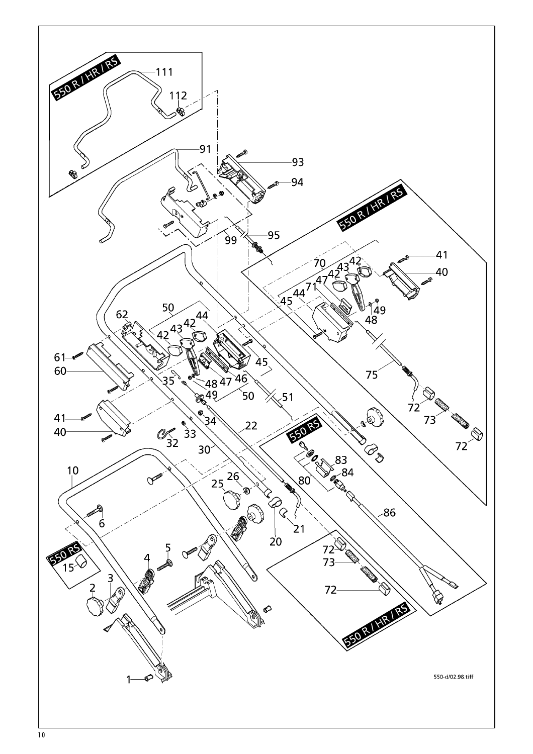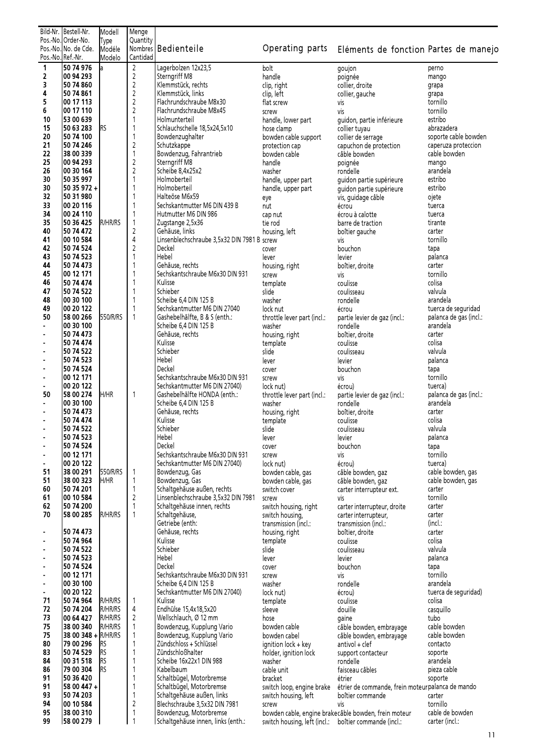|                  | Bild-Nr. Bestell-Nr.<br>Pos.-No. Order-No. | Modell                                                                 | Menge<br>Quantity            |                                                       |                                                       |                                                                                      |                                     |  |  |  |
|------------------|--------------------------------------------|------------------------------------------------------------------------|------------------------------|-------------------------------------------------------|-------------------------------------------------------|--------------------------------------------------------------------------------------|-------------------------------------|--|--|--|
|                  | Pos.-No. No. de Cde.                       | Type<br>Modéle                                                         |                              | Nombres Bedienteile                                   |                                                       | Operating parts Eléments de fonction Partes de manejo                                |                                     |  |  |  |
| Pos.-No.Ref.-Nr. |                                            | Modelo                                                                 | Cantidad                     |                                                       |                                                       |                                                                                      |                                     |  |  |  |
| 1                | 50 74 976                                  | la.                                                                    | $\overline{2}$               | Lagerbolzen 12x23,5                                   | bolt                                                  | goujon                                                                               | perno                               |  |  |  |
| 2<br>3           | 100 94 293<br>50 74 860                    |                                                                        | $\sqrt{2}$<br>$\overline{c}$ | Sterngriff M8<br>Klemmstück, rechts                   | handle<br>clip, right                                 | poignée<br>collier, droite                                                           | mango                               |  |  |  |
| 4                | 50 74 861                                  |                                                                        | $\mathsf 2$                  | Klemmstück, links                                     | clip, left                                            | collier, gauche                                                                      | grapa<br>grapa                      |  |  |  |
| 5                | 00 17 113                                  |                                                                        | $\overline{c}$               | Flachrundschraube M8x30                               | flat screw                                            | vis                                                                                  | tornillo                            |  |  |  |
| 6                | 00 17 110                                  |                                                                        | $\overline{c}$               | Flachrundschraube M8x45                               | screw                                                 | vis                                                                                  | tornillo                            |  |  |  |
| 10               | 53 00 639                                  |                                                                        | 1                            | Holmunterteil                                         | handle, lower part                                    | guidon, partie inférieure                                                            | estribo                             |  |  |  |
| 15               | 50 63 283                                  | Irs                                                                    | 1                            | Schlauchschelle 18,5x24,5x10                          | hose clamp                                            | collier tuyau                                                                        | abrazadera                          |  |  |  |
| 20               | 50 74 100                                  |                                                                        | 1                            | Bowdenzughalter                                       | bowden cable support                                  | collier de serrage                                                                   | soporte cable bowden                |  |  |  |
| 21<br>22         | 50 74 246<br>38 00 339                     |                                                                        | $\overline{c}$<br>1          | Schutzkappe<br>Bowdenzug, Fahrantrieb                 | protection cap<br>bowden cable                        | capuchon de protection<br>câble bowden                                               | caperuza proteccion<br>cable bowden |  |  |  |
| 25               | 00 94 293                                  |                                                                        | 2                            | Sterngriff M8                                         | handle                                                | poignée                                                                              | mango                               |  |  |  |
| 26               | 00 30 164                                  |                                                                        | $\overline{c}$               | Scheibe 8,4x25x2                                      | washer                                                | rondelle                                                                             | arandela                            |  |  |  |
| 30               | 50 35 997                                  |                                                                        | 1                            | Holmoberteil                                          | handle, upper part                                    | guidon partie supérieure                                                             | estribo                             |  |  |  |
| 30               | 50 35 972 +                                |                                                                        | 1                            | Holmoberteil                                          | handle, upper part                                    | guidon partie supérieure                                                             | estribo                             |  |  |  |
| 32               | 50 31 980                                  |                                                                        |                              | Halteöse M6x59                                        | eye                                                   | vis, guidage câble                                                                   | ojete                               |  |  |  |
| 33<br>34         | 00 20 116<br>00 24 110                     |                                                                        | 1<br>1                       | Sechskantmutter M6 DIN 439 B<br>Hutmutter M6 DIN 986  | nut                                                   | écrou<br>écrou à calotte                                                             | tuerca<br>tuerca                    |  |  |  |
| 35               | 50 36 425                                  | R/HR/RS                                                                | 1                            | Zugstange 2,5x36                                      | cap nut<br>tie rod                                    | barre de traction                                                                    | tirante                             |  |  |  |
| 40               | 50 74 472                                  |                                                                        | $\overline{c}$               | Gehäuse, links                                        | housing, left                                         | boîtier gauche                                                                       | carter                              |  |  |  |
| 41               | 00 10 584                                  |                                                                        | 4                            | Linsenblechschraube 3,5x32 DIN 7981 B screw           |                                                       | vis                                                                                  | tornillo                            |  |  |  |
| 42               | 50 74 524                                  |                                                                        | 2                            | Deckel                                                | cover                                                 | bouchon                                                                              | tapa                                |  |  |  |
| 43               | 50 74 523                                  |                                                                        | 1                            | Hebel                                                 | lever                                                 | levier                                                                               | palanca                             |  |  |  |
| 44               | 50 74 473                                  |                                                                        | 1<br>1                       | Gehäuse, rechts<br>Sechskantschraube M6x30 DIN 931    | housing, right                                        | boîtier, droite                                                                      | carter<br>tornillo                  |  |  |  |
| 45<br>46         | 00 12 171<br>50 74 474                     |                                                                        |                              | Kulisse                                               | screw<br>template                                     | vis<br>coulisse                                                                      | colisa                              |  |  |  |
| 47               | 50 74 522                                  |                                                                        | 1                            | Schieber                                              | slide                                                 | coulisseau                                                                           | valvula                             |  |  |  |
| 48               | 00 30 100                                  |                                                                        | 1                            | Scheibe 6,4 DIN 125 B                                 | washer                                                | rondelle                                                                             | arandela                            |  |  |  |
| 49               | 00 20 122                                  |                                                                        | 1                            | Sechskantmutter M6 DIN 27040                          | lock nut                                              | écrou                                                                                | tuerca de seguridad                 |  |  |  |
| 50               | 58 00 266                                  | 550/R/RS                                                               | $\mathbf{1}$                 | Gashebelhälfte, B & S (enth.:                         | throttle lever part (incl.:                           | partie levier de gaz (incl.:                                                         | palanca de gas (incl.:              |  |  |  |
| $\blacksquare$   | 100 30 100                                 |                                                                        |                              | Scheibe 6,4 DIN 125 B                                 | washer                                                | rondelle                                                                             | arandela                            |  |  |  |
| ٠<br>×,          | 50 74 473<br>50 74 474                     |                                                                        |                              | Gehäuse, rechts<br>Kulisse                            | housing, right<br>template                            | boîtier, droite<br>coulisse                                                          | carter<br>colisa                    |  |  |  |
| $\blacksquare$   | 50 74 522                                  |                                                                        |                              | Schieber                                              | slide                                                 | coulisseau                                                                           | valvula                             |  |  |  |
| ٠                | 50 74 523                                  |                                                                        |                              | Hebel                                                 | lever                                                 | levier                                                                               | palanca                             |  |  |  |
| ٠                | 50 74 524                                  |                                                                        |                              | Deckel                                                | cover                                                 | bouchon                                                                              | tapa                                |  |  |  |
| ä,               | 00 12 171                                  |                                                                        |                              | Sechskantschraube M6x30 DIN 931                       | screw                                                 | vis                                                                                  | tornillo                            |  |  |  |
|                  | 00 20 122                                  | <b>H/HR</b>                                                            |                              | Sechskantmutter M6 DIN 27040)                         | lock nut)                                             | écrou)                                                                               | tuerca)                             |  |  |  |
| 50<br>٠          | 58 00 274<br>00 30 100                     |                                                                        | $\mathbf{1}$                 | Gashebelhälfte HONDA (enth.:<br>Scheibe 6,4 DIN 125 B | throttle lever part (incl.:<br>washer                 | partie levier de gaz (incl.:<br>rondelle                                             | palanca de gas (incl.:<br>arandela  |  |  |  |
|                  | 50 74 473                                  |                                                                        |                              | Gehäuse, rechts                                       | housing, right                                        | boîtier, droite                                                                      | carter                              |  |  |  |
| ×                | 50 74 474                                  |                                                                        |                              | Kulisse                                               | template                                              | coulisse                                                                             | colisa                              |  |  |  |
|                  | 50 74 522                                  |                                                                        |                              | Schieber                                              | slide                                                 | coulisseau                                                                           | valvula                             |  |  |  |
| ٠                | 50 74 523                                  |                                                                        |                              | Hebel                                                 | lever                                                 | levier                                                                               | palanca                             |  |  |  |
|                  | 50 74 524                                  |                                                                        |                              | Deckel<br>Sechskantschraube M6x30 DIN 931             | cover                                                 | bouchon                                                                              | tapa<br>tornillo                    |  |  |  |
| ٠<br>٠           | 00 12 171<br>00 20 122                     |                                                                        |                              | Sechskantmutter M6 DIN 27040)                         | screw<br>lock nut)                                    | vis<br>écrou)                                                                        | tuerca)                             |  |  |  |
| 51               | 38 00 291                                  | 550/R/RS                                                               | 1                            | Bowdenzug, Gas                                        | bowden cable, gas                                     | câble bowden, gaz                                                                    | cable bowden, gas                   |  |  |  |
| 51               | 38 00 323                                  | H/HR                                                                   | $\mathbf{1}$                 | Bowdenzug, Gas                                        | bowden cable, gas                                     | câble bowden, gaz                                                                    | cable bowden, gas                   |  |  |  |
| 60               | 50 74 201                                  |                                                                        | 1                            | Schaltgehäuse außen, rechts                           | switch cover                                          | carter interrupteur ext.                                                             | carter                              |  |  |  |
| 61               | 00 10 584                                  |                                                                        | $\overline{c}$               | Linsenblechschraube 3,5x32 DIN 7981                   | screw                                                 | vis                                                                                  | tornillo                            |  |  |  |
| 62<br>70         | 50 74 200<br>58 00 285                     | <b>R/HR/RS</b>                                                         | 1<br>1                       | Schaltgehäuse innen, rechts<br>Schaltgehäuse,         | switch housing, right                                 | carter interrupteur, droite                                                          | carter<br>carter                    |  |  |  |
|                  |                                            |                                                                        |                              | Getriebe (enth:                                       | switch housing,<br>transmission (incl.:               | carter interrupteur,<br>transmission (incl.:                                         | (incl.                              |  |  |  |
|                  | 50 74 473                                  |                                                                        |                              | Gehäuse, rechts                                       | housing, right                                        | boîtier, droite                                                                      | carter                              |  |  |  |
| ä,               | 50 74 964                                  |                                                                        |                              | Kulisse                                               | template                                              | coulisse                                                                             | colisa                              |  |  |  |
| ä,               | 50 74 522                                  |                                                                        |                              | Schieber                                              | slide                                                 | coulisseau                                                                           | valvula                             |  |  |  |
| ٠                | 50 74 523                                  |                                                                        |                              | Hebel                                                 | lever                                                 | levier                                                                               | palanca                             |  |  |  |
| ٠<br>٠           | 50 74 524<br>00 12 171                     |                                                                        |                              | Deckel<br>Sechskantschraube M6x30 DIN 931             | cover<br>screw                                        | bouchon<br>vis                                                                       | tapa<br>tornillo                    |  |  |  |
| ×,               | 00 30 100                                  |                                                                        |                              | Scheibe 6,4 DIN 125 B                                 | washer                                                | rondelle                                                                             | arandela                            |  |  |  |
| $\blacksquare$   | 00 20 122                                  |                                                                        |                              | Sechskantmutter M6 DIN 27040)                         | lock nut)                                             | écrou)                                                                               | tuerca de seguridad)                |  |  |  |
| 71               | 50 74 964                                  | R/HR/RS                                                                | 1                            | Kulisse                                               | template                                              | coulisse                                                                             | colisa                              |  |  |  |
| 72               | 50 74 204                                  | R/HR/RS                                                                | 4                            | Endhülse 15,4x18,5x20                                 | sleeve                                                | douille                                                                              | casquillo                           |  |  |  |
| 73<br>75         | 00 64 427                                  | <b>R/HR/RS</b>                                                         | 2                            | Wellschlauch, Ø 12 mm                                 | hose                                                  | gaine                                                                                | tubo<br>cable bowden                |  |  |  |
| 75               | 38 00 340<br>38 00 348 + R/HR/RS           | R/HR/RS<br>Bowdenzug, Kupplung Vario<br>1<br>Bowdenzug, Kupplung Vario |                              | bowden cable<br>bowden cabel                          | câble bowden, embrayage<br>câble bowden, embrayage    | cable bowden                                                                         |                                     |  |  |  |
| 80               | 79 00 296                                  | RS                                                                     |                              | Zündschloss + Schlüssel                               | ignition lock + key                                   | antivol + clef                                                                       | contacto                            |  |  |  |
| 83               | 50 74 529                                  | <b>I</b> RS                                                            |                              | Zündschloßhalter                                      | holder, ignition lock                                 | support contacteur                                                                   | soporte                             |  |  |  |
| 84               | 00 31 518                                  | <b>I</b> RS                                                            | 1                            | Scheibe 16x22x1 DIN 988                               | washer                                                | rondelle                                                                             | arandela                            |  |  |  |
| 86               | 79 00 304                                  | Irs                                                                    | 1                            | Kabelbaum                                             | cable unit                                            | faisceau câbles                                                                      | pieza cable                         |  |  |  |
| 91<br>91         | 50 36 420<br>58 00 447 +                   |                                                                        | 1<br>1                       | Schaltbügel, Motorbremse<br>Schaltbügel, Motorbremse  | bracket                                               | étrier<br>switch loop, engine brake étrier de commande, frein moteurpalanca de mando | soporte                             |  |  |  |
| 93               | 50 74 203                                  |                                                                        | 1                            | Schaltgehäuse außen, links                            | switch housing, left                                  | boîtier commande                                                                     | carter                              |  |  |  |
| 94               | 00 10 584                                  |                                                                        | $\sqrt{2}$                   | Blechschraube 3,5x32 DIN 7981                         | screw                                                 | vis                                                                                  | tornillo                            |  |  |  |
| 95               | 38 00 310                                  |                                                                        | 1                            | Bowdenzug, Motorbremse                                |                                                       | bowden cable, engine brakecâble bowden, frein moteur                                 | cable de bowden                     |  |  |  |
| 99               | 58 00 279                                  |                                                                        | $\mathbf{1}$                 | Schaltgehäuse innen, links (enth.:                    | switch housing, left (incl.: boîtier commande (incl.: |                                                                                      | carter (incl.:                      |  |  |  |